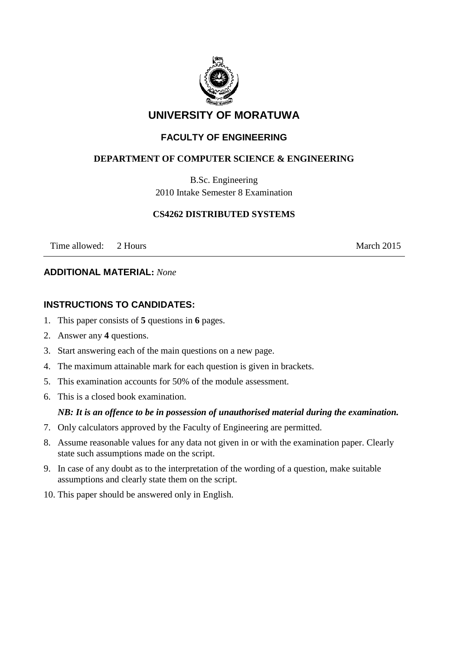

# **UNIVERSITY OF MORATUWA**

## **FACULTY OF ENGINEERING**

### **DEPARTMENT OF COMPUTER SCIENCE & ENGINEERING**

B.Sc. Engineering 2010 Intake Semester 8 Examination

#### **CS4262 DISTRIBUTED SYSTEMS**

Time allowed: 2 Hours March 2015

#### **ADDITIONAL MATERIAL:** *None*

### **INSTRUCTIONS TO CANDIDATES:**

- 1. This paper consists of **5** questions in **6** pages.
- 2. Answer any **4** questions.
- 3. Start answering each of the main questions on a new page.
- 4. The maximum attainable mark for each question is given in brackets.
- 5. This examination accounts for 50% of the module assessment.
- 6. This is a closed book examination.

#### *NB: It is an offence to be in possession of unauthorised material during the examination.*

- 7. Only calculators approved by the Faculty of Engineering are permitted.
- 8. Assume reasonable values for any data not given in or with the examination paper. Clearly state such assumptions made on the script.
- 9. In case of any doubt as to the interpretation of the wording of a question, make suitable assumptions and clearly state them on the script.
- 10. This paper should be answered only in English.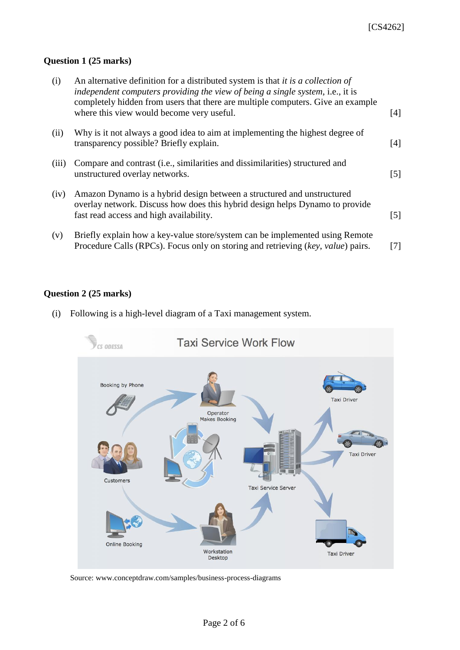#### **Question 1 (25 marks)**

| (i)   | An alternative definition for a distributed system is that <i>it is a collection of</i><br>independent computers providing the view of being a single system, i.e., it is<br>completely hidden from users that there are multiple computers. Give an example<br>where this view would become very useful. | [4]               |
|-------|-----------------------------------------------------------------------------------------------------------------------------------------------------------------------------------------------------------------------------------------------------------------------------------------------------------|-------------------|
| (ii)  | Why is it not always a good idea to aim at implementing the highest degree of<br>transparency possible? Briefly explain.                                                                                                                                                                                  | [4]               |
| (iii) | Compare and contrast (i.e., similarities and dissimilarities) structured and<br>unstructured overlay networks.                                                                                                                                                                                            | $\lceil 5 \rceil$ |
| (iv)  | Amazon Dynamo is a hybrid design between a structured and unstructured<br>overlay network. Discuss how does this hybrid design helps Dynamo to provide<br>fast read access and high availability.                                                                                                         | $\lceil 5 \rceil$ |
| (v)   | Briefly explain how a key-value store/system can be implemented using Remote<br>Procedure Calls (RPCs). Focus only on storing and retrieving (key, value) pairs.                                                                                                                                          | 71                |

## **Question 2 (25 marks)**

(i) Following is a high-level diagram of a Taxi management system.



Source: www.conceptdraw.com/samples/business-process-diagrams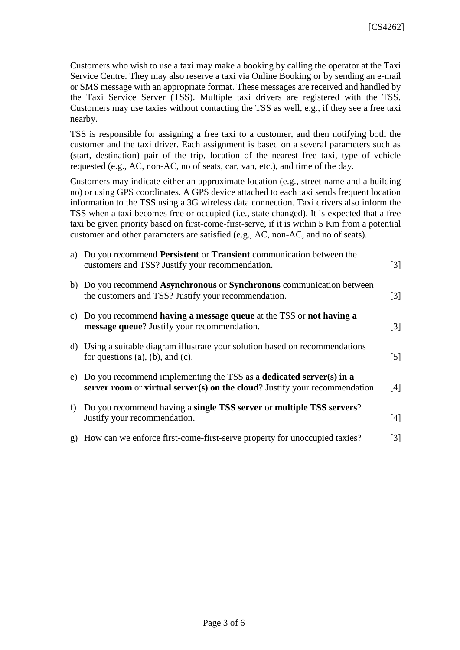Customers who wish to use a taxi may make a booking by calling the operator at the Taxi Service Centre. They may also reserve a taxi via Online Booking or by sending an e-mail or SMS message with an appropriate format. These messages are received and handled by the Taxi Service Server (TSS). Multiple taxi drivers are registered with the TSS. Customers may use taxies without contacting the TSS as well, e.g., if they see a free taxi nearby.

TSS is responsible for assigning a free taxi to a customer, and then notifying both the customer and the taxi driver. Each assignment is based on a several parameters such as (start, destination) pair of the trip, location of the nearest free taxi, type of vehicle requested (e.g., AC, non-AC, no of seats, car, van, etc.), and time of the day.

Customers may indicate either an approximate location (e.g., street name and a building no) or using GPS coordinates. A GPS device attached to each taxi sends frequent location information to the TSS using a 3G wireless data connection. Taxi drivers also inform the TSS when a taxi becomes free or occupied (i.e., state changed). It is expected that a free taxi be given priority based on first-come-first-serve, if it is within 5 Km from a potential customer and other parameters are satisfied (e.g., AC, non-AC, and no of seats).

|   | a) Do you recommend Persistent or Transient communication between the<br>customers and TSS? Justify your recommendation.                                     | $\lceil 3 \rceil$ |
|---|--------------------------------------------------------------------------------------------------------------------------------------------------------------|-------------------|
|   | b) Do you recommend Asynchronous or Synchronous communication between<br>the customers and TSS? Justify your recommendation.                                 | $\lceil 3 \rceil$ |
|   | c) Do you recommend having a message queue at the TSS or not having a<br>message queue? Justify your recommendation.                                         | $\lceil 3 \rceil$ |
|   | d) Using a suitable diagram illustrate your solution based on recommendations<br>for questions $(a)$ , $(b)$ , and $(c)$ .                                   | $\lceil 5 \rceil$ |
|   | e) Do you recommend implementing the TSS as a <b>dedicated server(s) in a</b><br>server room or virtual server(s) on the cloud? Justify your recommendation. | [4]               |
| f | Do you recommend having a single TSS server or multiple TSS servers?<br>Justify your recommendation.                                                         | [4]               |
|   | g) How can we enforce first-come-first-serve property for unoccupied taxies?                                                                                 | $\lceil 3 \rceil$ |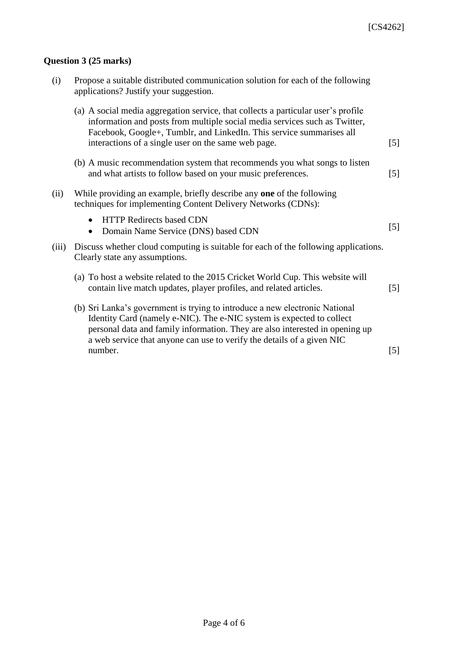# **Question 3 (25 marks)**

| (i)   | Propose a suitable distributed communication solution for each of the following<br>applications? Justify your suggestion.                                                                                                                                                                                      |                   |
|-------|----------------------------------------------------------------------------------------------------------------------------------------------------------------------------------------------------------------------------------------------------------------------------------------------------------------|-------------------|
|       | (a) A social media aggregation service, that collects a particular user's profile<br>information and posts from multiple social media services such as Twitter,<br>Facebook, Google+, Tumblr, and LinkedIn. This service summarises all<br>interactions of a single user on the same web page.                 | $[5]$             |
|       | (b) A music recommendation system that recommends you what songs to listen<br>and what artists to follow based on your music preferences.                                                                                                                                                                      | $[5]$             |
| (ii)  | While providing an example, briefly describe any one of the following<br>techniques for implementing Content Delivery Networks (CDNs):                                                                                                                                                                         |                   |
|       | <b>HTTP Redirects based CDN</b><br>$\bullet$<br>Domain Name Service (DNS) based CDN<br>$\bullet$                                                                                                                                                                                                               | $[5]$             |
| (iii) | Discuss whether cloud computing is suitable for each of the following applications.<br>Clearly state any assumptions.                                                                                                                                                                                          |                   |
|       | (a) To host a website related to the 2015 Cricket World Cup. This website will<br>contain live match updates, player profiles, and related articles.                                                                                                                                                           | $\lceil 5 \rceil$ |
|       | (b) Sri Lanka's government is trying to introduce a new electronic National<br>Identity Card (namely e-NIC). The e-NIC system is expected to collect<br>personal data and family information. They are also interested in opening up<br>a web service that anyone can use to verify the details of a given NIC |                   |
|       | number.                                                                                                                                                                                                                                                                                                        | $\lceil 5 \rceil$ |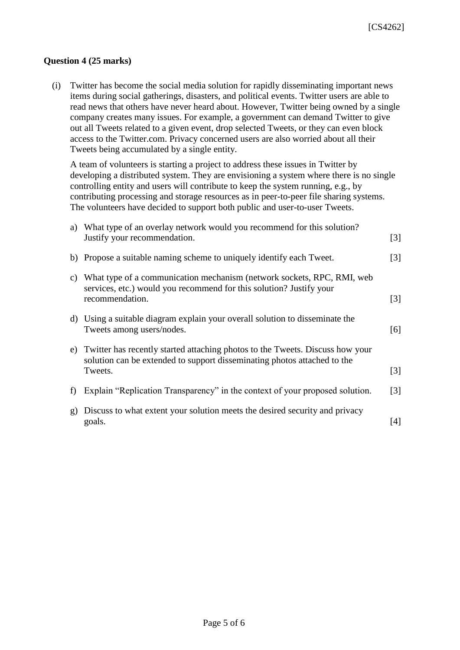#### **Question 4 (25 marks)**

(i) Twitter has become the social media solution for rapidly disseminating important news items during social gatherings, disasters, and political events. Twitter users are able to read news that others have never heard about. However, Twitter being owned by a single company creates many issues. For example, a government can demand Twitter to give out all Tweets related to a given event, drop selected Tweets, or they can even block access to the Twitter.com. Privacy concerned users are also worried about all their Tweets being accumulated by a single entity.

A team of volunteers is starting a project to address these issues in Twitter by developing a distributed system. They are envisioning a system where there is no single controlling entity and users will contribute to keep the system running, e.g., by contributing processing and storage resources as in peer-to-peer file sharing systems. The volunteers have decided to support both public and user-to-user Tweets.

|    | a) What type of an overlay network would you recommend for this solution?<br>Justify your recommendation.                                                            | $\lceil 3 \rceil$ |
|----|----------------------------------------------------------------------------------------------------------------------------------------------------------------------|-------------------|
|    | b) Propose a suitable naming scheme to uniquely identify each Tweet.                                                                                                 | $\lceil 3 \rceil$ |
| C) | What type of a communication mechanism (network sockets, RPC, RMI, web<br>services, etc.) would you recommend for this solution? Justify your<br>recommendation.     | $\lceil 3 \rceil$ |
|    | d) Using a suitable diagram explain your overall solution to disseminate the<br>Tweets among users/nodes.                                                            | [6]               |
| e) | Twitter has recently started attaching photos to the Tweets. Discuss how your<br>solution can be extended to support disseminating photos attached to the<br>Tweets. | $\lceil 3 \rceil$ |
| f  | Explain "Replication Transparency" in the context of your proposed solution.                                                                                         | $\lceil 3 \rceil$ |
| g) | Discuss to what extent your solution meets the desired security and privacy<br>goals.                                                                                | [4]               |